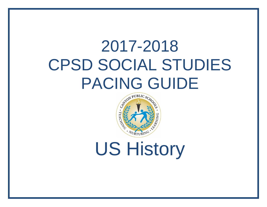# 2017-2018 CPSD SOCIAL STUDIES PACING GUIDE



## US History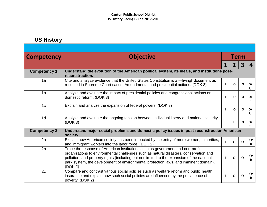## **US History**

| <b>Competency</b>   | <b>Objective</b>                                                                                                                                                                                                                                                                                                                                                        | Term         |             |                         |                           |  |
|---------------------|-------------------------------------------------------------------------------------------------------------------------------------------------------------------------------------------------------------------------------------------------------------------------------------------------------------------------------------------------------------------------|--------------|-------------|-------------------------|---------------------------|--|
|                     |                                                                                                                                                                                                                                                                                                                                                                         |              |             | $\overline{\mathbf{3}}$ | 4                         |  |
| <b>Competency 1</b> | Understand the evolution of the American political system, its ideals, and institutions post-<br>reconstruction.                                                                                                                                                                                                                                                        |              |             |                         |                           |  |
| 1a                  | Cite and analyze evidence that the United States Constitution is a -livingli document as<br>reflected in Supreme Court cases, Amendments, and presidential actions. (DOK 3)                                                                                                                                                                                             | $\mathbf{I}$ | $\mathbf 0$ | $\mathbf{o}$            | O/<br>R                   |  |
| 1 <sub>b</sub>      | Analyze and evaluate the impact of presidential policies and congressional actions on<br>domestic reform. (DOK 3)                                                                                                                                                                                                                                                       |              | $\Omega$    | O                       | O/<br>R                   |  |
| 1 <sub>c</sub>      | Explain and analyze the expansion of federal powers. (DOK 3)                                                                                                                                                                                                                                                                                                            | ı            | $\Omega$    | O                       | O/<br>R                   |  |
| 1 <sub>d</sub>      | Analyze and evaluate the ongoing tension between individual liberty and national security.<br>(DOK 3)                                                                                                                                                                                                                                                                   |              |             | O                       | O/<br>R                   |  |
| <b>Competency 2</b> | Understand major social problems and domestic policy issues in post-reconstruction American<br>society.                                                                                                                                                                                                                                                                 |              |             |                         |                           |  |
| 2a                  | Explain how American society has been impacted by the entry of more women, minorities,<br>and immigrant workers into the labor force. (DOK 2)                                                                                                                                                                                                                           | $\mathbf{I}$ | $\Omega$    | $\mathbf{o}$            | O/<br>$\bf{R}$            |  |
| 2 <sub>b</sub>      | Trace the response of American institutions such as government and non-profit<br>organizations to environmental challenges such as natural disasters, conservation and<br>pollution, and property rights (including but not limited to the expansion of the national<br>park system, the development of environmental protection laws, and imminent domain).<br>(DOK 2) | $\mathbf{I}$ | $\Omega$    | $\mathbf 0$             | $\mathbf{O}/$<br>$\bf{R}$ |  |
| 2c                  | Compare and contrast various social policies such as welfare reform and public health<br>insurance and explain how such social policies are influenced by the persistence of<br>poverty. (DOK 2)                                                                                                                                                                        | $\bf{I}$     | $\mathbf 0$ | $\mathbf 0$             | $\mathbf{O}/$<br>$\bf{R}$ |  |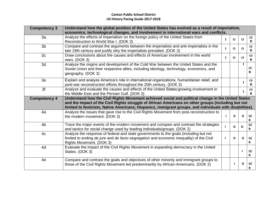| <b>Competency 3</b> | Understand how the global position of the United States has evolved as a result of imperialism,<br>economics, technological changes, and involvement in international wars and conflicts.                                                                                                                             |   |             |              |                           |  |
|---------------------|-----------------------------------------------------------------------------------------------------------------------------------------------------------------------------------------------------------------------------------------------------------------------------------------------------------------------|---|-------------|--------------|---------------------------|--|
| 3a                  | Analyze the effects of imperialism on the foreign policy of the United States from<br>Reconstruction to World War I. (DOK 3)                                                                                                                                                                                          |   | $\mathbf 0$ | $\mathbf{o}$ | $\mathbf{O}/$<br>$\bf{R}$ |  |
| 3 <sub>b</sub>      | Compare and contrast the arguments between the imperialists and anti-imperialists in the<br>late 19th century and justify why the imperialists prevailed. (DOK 3)                                                                                                                                                     | L | $\Omega$    | $\mathbf 0$  | O/<br>$\bf{R}$            |  |
| 3 <sub>c</sub>      | Draw conclusions about the causes and effects of American involvement in the world<br>wars. $(DOK 3)$                                                                                                                                                                                                                 | L | $\Omega$    | $\mathbf 0$  | O/<br>$\bf{R}$            |  |
| 3d                  | Analyze the origins and development of the Cold War between the United States and the<br>Soviet Union and their respective allies, including ideology, technology, economics, and<br>geography. (DOK 3)                                                                                                               |   |             | $\mathbf{I}$ | $\mathbf{O}/$<br>$\bf{R}$ |  |
| 3e                  | Explain and analyze America's role in international organizations, humanitarian relief, and<br>post-war reconstruction efforts throughout the 20th century. (DOK 3)                                                                                                                                                   |   |             | $\mathbf I$  | O/<br>$\bf{R}$            |  |
| 3f                  | Analyze and evaluate the causes and effects of the United States' growing involvement in<br>the Middle East and the Persian Gulf. (DOK 3)                                                                                                                                                                             |   |             |              | O/<br>$\mathbf{R}$        |  |
| <b>Competency 4</b> | Understand how the Civil Rights Movement achieved social and political change in the United States<br>and the impact of the Civil Rights struggle of African Americans on other groups (including but not<br>limited to feminists, Native Americans, Hispanics, immigrant groups, and individuals with disabilities). |   |             |              |                           |  |
| 4a                  | Analyze the issues that gave rise to the Civil Rights Movement from post-reconstruction to<br>the modern movement. (DOK 3)                                                                                                                                                                                            |   | O           | $\Omega$     | O/<br>R                   |  |
| 4 <sub>b</sub>      | Trace the major events of the modern movement and compare and contrast the strategies<br>and tactics for social change used by leading individuals/groups. (DOK 2)                                                                                                                                                    |   | $\Omega$    | $\mathbf{o}$ | O/<br>R                   |  |
| 4c                  | Analyze the response of federal and state governments to the goals (including but not<br>limited to ending de jure and de facto segregation and economic inequality) of the Civil<br>Rights Movement. (DOK 3)                                                                                                         |   | $\Omega$    | $\Omega$     | O/<br>R                   |  |
| 4d                  | Evaluate the impact of the Civil Rights Movement in expanding democracy in the United<br>States. (DOK 3)                                                                                                                                                                                                              |   |             | $\mathbf{I}$ | O/<br>R                   |  |
| 4e                  | Compare and contrast the goals and objectives of other minority and immigrant groups to<br>those of the Civil Rights Movement led predominantly by African-Americans. (DOK 2)                                                                                                                                         |   |             | O            | O/<br>R                   |  |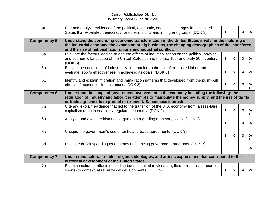### **Canton Public School District US History Pacing Guide 2017-2018**

| 4f                  | Cite and analyze evidence of the political, economic, and social changes in the United<br>States that expanded democracy for other minority and immigrant groups. (DOK 3)                                                                                                  |  | $\mathbf{o}$ | O            | O/<br>R           |
|---------------------|----------------------------------------------------------------------------------------------------------------------------------------------------------------------------------------------------------------------------------------------------------------------------|--|--------------|--------------|-------------------|
| <b>Competency 5</b> | Understand the continuing economic transformation of the United States involving the maturing of<br>the industrial economy, the expansion of big business, the changing demographics of the labor force,<br>and the rise of national labor unions and industrial conflict. |  |              |              |                   |
| 5a                  | Evaluate the factors leading to and the effects of industrialization on the political, physical,<br>and economic landscape of the United States during the late 19th and early 20th century.<br>(DOK 3)                                                                    |  | $\mathbf{o}$ | O            | O/<br>R           |
| 5 <sub>b</sub>      | Explain the conditions of industrialization that led to the rise of organized labor and<br>evaluate labor's effectiveness in achieving its goals. (DOK 3)                                                                                                                  |  | $\Omega$     | $\Omega$     | O/<br>R           |
| 5c                  | Identify and explain migration and immigration patterns that developed from the push-pull<br>effects of economic circumstances. (DOK 2)                                                                                                                                    |  | 0            | O            | O/<br>R           |
| <b>Competency 6</b> | Understand the scope of government involvement in the economy including the following: the<br>regulation of industry and labor, the attempts to manipulate the money supply, and the use of tariffs<br>or trade agreements to protect or expand U.S. business interests.   |  |              |              |                   |
| 6a                  | Cite and explain evidence that led to the transition of the U.S. economy from laissez-faire<br>capitalism to an increasingly regulated economy. (DOK 2)                                                                                                                    |  | Ο            | O            | O/<br>R           |
| 6 <sub>b</sub>      | Analyze and evaluate historical arguments regarding monetary policy. (DOK 3)                                                                                                                                                                                               |  | $\mathbf{o}$ | $\Omega$     | O/<br>$\mathbf R$ |
| 6c                  | Critique the government's use of tariffs and trade agreements. (DOK 3)                                                                                                                                                                                                     |  | $\mathbf{o}$ | $\Omega$     | O/<br>R           |
| 6d                  | Evaluate deficit spending as a means of financing government programs. (DOK 3)                                                                                                                                                                                             |  |              | $\mathbf{I}$ | O/<br>R           |
| <b>Competency 7</b> | Understand cultural trends, religious ideologies, and artistic expressions that contributed to the<br>historical development of the United States.                                                                                                                         |  |              |              |                   |
| 7a                  | Examine cultural artifacts (including but not limited to visual art, literature, music, theatre,<br>sports) to contextualize historical developments. (DOK 2)                                                                                                              |  | O            | O            | O/                |